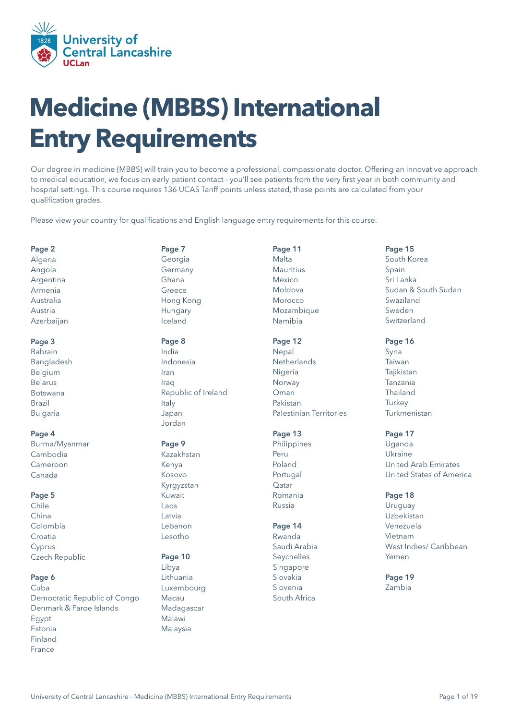

# **Medicine (MBBS) International Entry Requirements**

Our degree in medicine (MBBS) will train you to become a professional, compassionate doctor. Offering an innovative approach to medical education, we focus on early patient contact - you'll see patients from the very first year in both community and hospital settings. This course requires 136 UCAS Tariff points unless stated, these points are calculated from your qualification grades.

Please view your country for qualifications and English language entry requirements for this course.

#### [Page 2](#page-1-0)

[Algeria](#page-1-0) [Angola](#page-1-0) [Argentina](#page-1-0) [Armenia](#page-1-0) [Australia](#page-1-0)  [Austria](#page-1-0) [Azerbaijan](#page-1-0)

#### [Page 3](#page-2-0)

[Bahrain](#page-2-0)  [Bangladesh](#page-2-0) [Belgium](#page-2-0) [Belarus](#page-2-0) [Botswana](#page-2-0) [Brazil](#page-2-0) [Bulgaria](#page-2-0)

#### [Page 4](#page-3-0)

[Burma/Myanmar](#page-3-0) [Cambodia](#page-3-0) [Cameroon](#page-3-0) [Canada](#page-3-0)

#### [Page 5](#page-4-0)

[Chile](#page-4-0) [China](#page-4-0) [Colombia](#page-4-0)  [Croatia](#page-4-0) [Cyprus](#page-4-0) [Czech Republic](#page-4-0)

#### [Page 6](#page-5-0)

[Cuba](#page-5-0) [Democratic Republic of Congo](#page-5-0) [Denmark & Faroe Islands](#page-5-0) [Egypt](#page-5-0) [Estonia](#page-5-0) [Finland](#page-5-0) [France](#page-5-0)

[Page 7](#page-6-0) [Georgia](#page-6-0) [Germany](#page-6-0) [Ghana](#page-6-0) [Greece](#page-6-0) [Hong Kong](#page-6-0) [Hungary](#page-6-0) [Iceland](#page-6-0)

#### [Page 8](#page-7-0)

[India](#page-7-0) [Indonesia](#page-7-0) [Iran](#page-7-0) [Iraq](#page-7-0) [Republic of Ireland](#page-7-0) [Italy](#page-7-0) [Japan](#page-7-0) [Jordan](#page-7-0)

#### [Page 9](#page-8-0)

[Kazakhstan](#page-8-0) [Kenya](#page-8-0) [Kosovo](#page-8-0) [Kyrgyzstan](#page-8-0) [Kuwait](#page-8-0) [Laos](#page-8-0) [Latvia](#page-8-0) [Lebanon](#page-8-0) [Lesotho](#page-8-0)

### [Page 10](#page-9-0)

[Libya](#page-9-0) [Lithuania](#page-9-0) [Luxembourg](#page-9-0) [Macau](#page-9-0) [Madagascar](#page-9-0) [Malawi](#page-9-0) [Malaysia](#page-9-0)

[Page 11](#page-10-0) [Malta](#page-10-0) [Mauritius](#page-10-0) [Mexico](#page-10-0) [Moldova](#page-10-0) [Morocco](#page-10-0) [Mozambique](#page-10-0) [Namibia](#page-10-0)

### [Page 12](#page-11-0)

[Nepal](#page-11-0) **[Netherlands](#page-11-0) [Nigeria](#page-11-0)** [Norway](#page-11-0) [Oman](#page-11-0) [Pakistan](#page-11-0)  [Palestinian Territories](#page-11-0) 

### [Page 13](#page-12-0)

[Philippines](#page-12-0) [Peru](#page-12-0) [Poland](#page-12-0) [Portugal](#page-12-0) [Qatar](#page-12-0) [Romania](#page-12-0) [Russia](#page-12-0)

### [Page 14](#page-13-0)

[Rwanda](#page-13-0) [Saudi Arabia](#page-13-0) [Seychelles](#page-13-0) [Singapore](#page-13-0) [Slovakia](#page-13-0) [Slovenia](#page-13-0) [South Africa](#page-13-0)

### [Page 15](#page-14-0)

[South Korea](#page-14-0) [Spain](#page-14-0) [Sri Lanka](#page-14-0) [Sudan & South Sudan](#page-14-0) [Swaziland](#page-14-0) [Sweden](#page-14-0) [Switzerland](#page-14-0)

### [Page 16](#page-15-0)

[Syria](#page-15-0)  [Taiwan](#page-15-0) **[Tajikistan](#page-15-0)** [Tanzania](#page-15-0) [Thailand](#page-15-0) **[Turkey](#page-15-0)** [Turkmenistan](#page-15-0)

#### [Page 17](#page-16-0)

[Uganda](#page-16-0) [Ukraine](#page-16-0) [United Arab Emirates](#page-16-0) [United States of America](#page-16-0)

### [Page 18](#page-17-0)

[Uruguay](#page-17-0) [Uzbekistan](#page-17-0) [Venezuela](#page-17-0) [Vietnam](#page-17-0) [West Indies/ Caribbean](#page-17-0) [Yemen](#page-17-0)

#### [Page 19](#page-18-0) [Zambia](#page-18-0)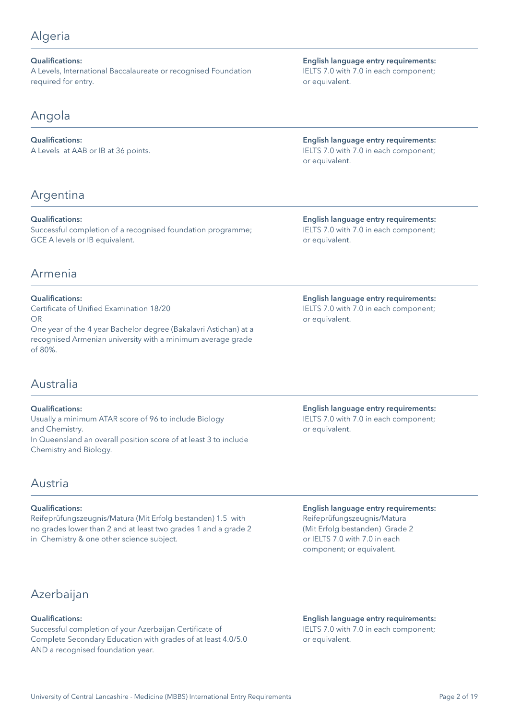## <span id="page-1-0"></span>Algeria

### Qualifications:

A Levels, International Baccalaureate or recognised Foundation required for entry.

## Angola

### Qualifications:

A Levels at AAB or IB at 36 points.

## Argentina

Qualifications:

Successful completion of a recognised foundation programme; GCE A levels or IB equivalent.

### Armenia

### Qualifications: Certificate of Unified Examination 18/20

OR One year of the 4 year Bachelor degree (Bakalavri Astichan) at a recognised Armenian university with a minimum average grade of 80%.

## Australia

### Qualifications:

Usually a minimum ATAR score of 96 to include Biology and Chemistry. In Queensland an overall position score of at least 3 to include Chemistry and Biology.

## Austria

### Qualifications:

Reifeprüfungszeugnis/Matura (Mit Erfolg bestanden) 1.5 with no grades lower than 2 and at least two grades 1 and a grade 2 in Chemistry & one other science subject.

English language entry requirements: IELTS 7.0 with 7.0 in each component; or equivalent.

English language entry requirements: IELTS 7.0 with 7.0 in each component; or equivalent.

English language entry requirements: IELTS 7.0 with 7.0 in each component; or equivalent.

English language entry requirements: IELTS 7.0 with 7.0 in each component; or equivalent.

English language entry requirements: IELTS 7.0 with 7.0 in each component; or equivalent.

English language entry requirements: Reifeprüfungszeugnis/Matura (Mit Erfolg bestanden) Grade 2 or IELTS 7.0 with 7.0 in each component; or equivalent.

## Azerbaijan

### Qualifications:

Successful completion of your Azerbaijan Certificate of Complete Secondary Education with grades of at least 4.0/5.0 AND a recognised foundation year.

#### English language entry requirements: IELTS 7.0 with 7.0 in each component; or equivalent.

University of Central Lancashire - Medicine (MBBS) International Entry Requirements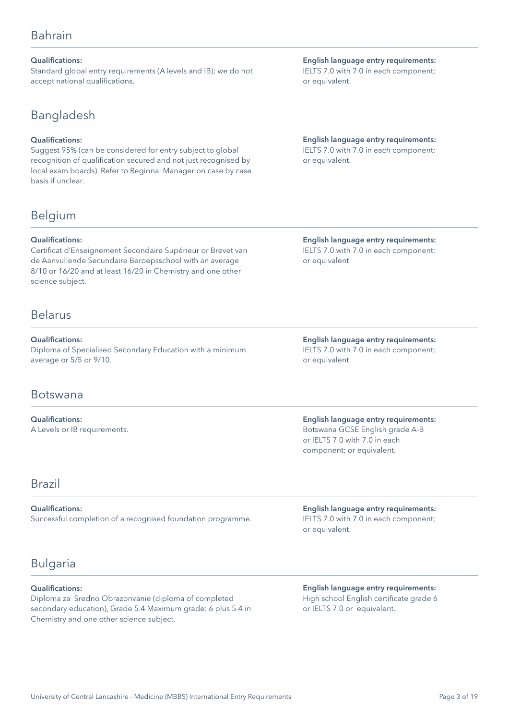#### <span id="page-2-0"></span>Qualifications:

Standard global entry requirements (A levels and IB); we do not accept national qualifications.

## Bangladesh

### Qualifications:

Suggest 95% (can be considered for entry subject to global recognition of qualification secured and not just recognised by local exam boards). Refer to Regional Manager on case by case basis if unclear.

## Belgium

#### Qualifications:

Certificat d'Enseignement Secondaire Supérieur or Brevet van de Aanvullende Secundaire Beroepsschool with an average 8/10 or 16/20 and at least 16/20 in Chemistry and one other science subject.

### Belarus

Qualifications: Diploma of Specialised Secondary Education with a minimum average or 5/5 or 9/10.

### Botswana

Qualifications: A Levels or IB requirements.

### Brazil

#### Qualifications:

Successful completion of a recognised foundation programme.

## Bulgaria

### Qualifications:

Diploma za Sredno Obrazonvanie (diploma of completed secondary education), Grade 5.4 Maximum grade: 6 plus 5.4 in Chemistry and one other science subject.

English language entry requirements: IELTS 7.0 with 7.0 in each component; or equivalent.

### English language entry requirements: IELTS 7.0 with 7.0 in each component; or equivalent.

English language entry requirements: IELTS 7.0 with 7.0 in each component; or equivalent.

English language entry requirements: IELTS 7.0 with 7.0 in each component; or equivalent.

English language entry requirements: Botswana GCSE English grade A-B or IELTS 7.0 with 7.0 in each component; or equivalent.

English language entry requirements: IELTS 7.0 with 7.0 in each component; or equivalent.

English language entry requirements: High school English certificate grade 6 or IELTS 7.0 or equivalent.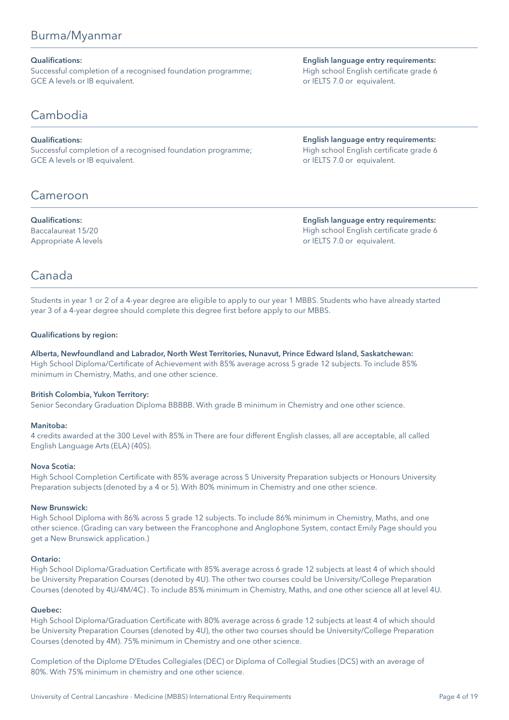## <span id="page-3-0"></span>Burma/Myanmar

### Qualifications:

Successful completion of a recognised foundation programme; GCE A levels or IB equivalent.

Cambodia

### Qualifications:

Successful completion of a recognised foundation programme; GCE A levels or IB equivalent.

## Cameroon

### Qualifications:

Baccalaureat 15/20 Appropriate A levels English language entry requirements: High school English certificate grade 6 or IELTS 7.0 or equivalent.

English language entry requirements: High school English certificate grade 6 or IELTS 7.0 or equivalent.

English language entry requirements: High school English certificate grade 6 or IELTS 7.0 or equivalent.

## Canada

Students in year 1 or 2 of a 4-year degree are eligible to apply to our year 1 MBBS. Students who have already started year 3 of a 4-year degree should complete this degree first before apply to our MBBS.

### Qualifications by region:

Alberta, Newfoundland and Labrador, North West Territories, Nunavut, Prince Edward Island, Saskatchewan: High School Diploma/Certificate of Achievement with 85% average across 5 grade 12 subjects. To include 85% minimum in Chemistry, Maths, and one other science.

### British Colombia, Yukon Territory:

Senior Secondary Graduation Diploma BBBBB. With grade B minimum in Chemistry and one other science.

### Manitoba:

4 credits awarded at the 300 Level with 85% in There are four different English classes, all are acceptable, all called English Language Arts (ELA) (40S).

### Nova Scotia:

High School Completion Certificate with 85% average across 5 University Preparation subjects or Honours University Preparation subjects (denoted by a 4 or 5). With 80% minimum in Chemistry and one other science.

#### New Brunswick:

High School Diploma with 86% across 5 grade 12 subjects. To include 86% minimum in Chemistry, Maths, and one other science. (Grading can vary between the Francophone and Anglophone System, contact Emily Page should you get a New Brunswick application.)

#### Ontario:

High School Diploma/Graduation Certificate with 85% average across 6 grade 12 subjects at least 4 of which should be University Preparation Courses (denoted by 4U). The other two courses could be University/College Preparation Courses (denoted by 4U/4M/4C) . To include 85% minimum in Chemistry, Maths, and one other science all at level 4U.

### Quebec:

High School Diploma/Graduation Certificate with 80% average across 6 grade 12 subjects at least 4 of which should be University Preparation Courses (denoted by 4U), the other two courses should be University/College Preparation Courses (denoted by 4M). 75% minimum in Chemistry and one other science.

Completion of the Diplome D'Etudes Collegiales (DEC) or Diploma of Collegial Studies (DCS) with an average of 80%. With 75% minimum in chemistry and one other science.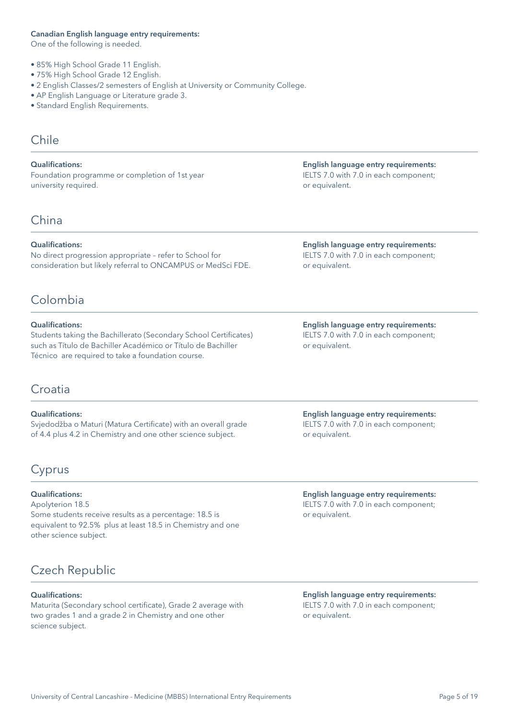#### <span id="page-4-0"></span>Canadian English language entry requirements:

One of the following is needed.

- 85% High School Grade 11 English.
- 75% High School Grade 12 English.
- 2 English Classes/2 semesters of English at University or Community College.
- AP English Language or Literature grade 3.
- Standard English Requirements.

## Chile

Qualifications: Foundation programme or completion of 1st year university required.

## China

#### Qualifications:

No direct progression appropriate – refer to School for consideration but likely referral to ONCAMPUS or MedSci FDE.

## Colombia

### Qualifications:

Students taking the Bachillerato (Secondary School Certificates) such as Título de Bachiller Académico or Título de Bachiller Técnico are required to take a foundation course.

## Croatia

### Qualifications:

Svjedodžba o Maturi (Matura Certificate) with an overall grade of 4.4 plus 4.2 in Chemistry and one other science subject.

## Cyprus

### Qualifications:

Apolyterion 18.5 Some students receive results as a percentage: 18.5 is equivalent to 92.5% plus at least 18.5 in Chemistry and one other science subject.

## Czech Republic

#### Qualifications:

Maturita (Secondary school certificate), Grade 2 average with two grades 1 and a grade 2 in Chemistry and one other science subject.

English language entry requirements: IELTS 7.0 with 7.0 in each component; or equivalent.

English language entry requirements: IELTS 7.0 with 7.0 in each component; or equivalent.

English language entry requirements: IELTS 7.0 with 7.0 in each component; or equivalent.

English language entry requirements: IELTS 7.0 with 7.0 in each component; or equivalent.

English language entry requirements: IELTS 7.0 with 7.0 in each component; or equivalent.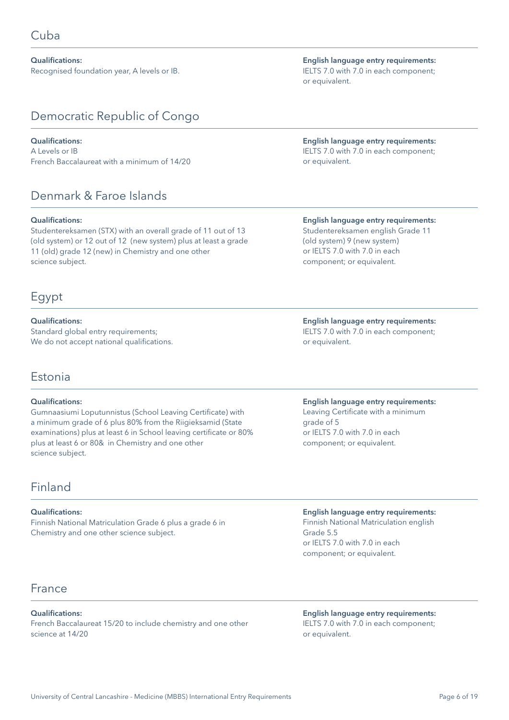<span id="page-5-0"></span>Qualifications: Recognised foundation year, A levels or IB.

## Democratic Republic of Congo

### Qualifications:

A Levels or IB French Baccalaureat with a minimum of 14/20

## Denmark & Faroe Islands

#### Qualifications:

Studentereksamen (STX) with an overall grade of 11 out of 13 (old system) or 12 out of 12 (new system) plus at least a grade 11 (old) grade 12 (new) in Chemistry and one other science subject.

## Egypt

Qualifications: Standard global entry requirements; We do not accept national qualifications.

## Estonia

#### Qualifications:

Gumnaasiumi Loputunnistus (School Leaving Certificate) with a minimum grade of 6 plus 80% from the Riigieksamid (State examinations) plus at least 6 in School leaving certificate or 80% plus at least 6 or 80& in Chemistry and one other science subject.

## Finland

#### Qualifications:

Finnish National Matriculation Grade 6 plus a grade 6 in Chemistry and one other science subject.

## **France**

### Qualifications:

French Baccalaureat 15/20 to include chemistry and one other science at 14/20

English language entry requirements: IELTS 7.0 with 7.0 in each component; or equivalent.

### English language entry requirements: IELTS 7.0 with 7.0 in each component; or equivalent.

### English language entry requirements:

Studentereksamen english Grade 11 (old system) 9 (new system) or IELTS 7.0 with 7.0 in each component; or equivalent.

English language entry requirements: IELTS 7.0 with 7.0 in each component; or equivalent.

### English language entry requirements:

Leaving Certificate with a minimum grade of 5 or IELTS 7.0 with 7.0 in each component; or equivalent.

English language entry requirements: Finnish National Matriculation english Grade 5.5 or IELTS 7.0 with 7.0 in each component; or equivalent.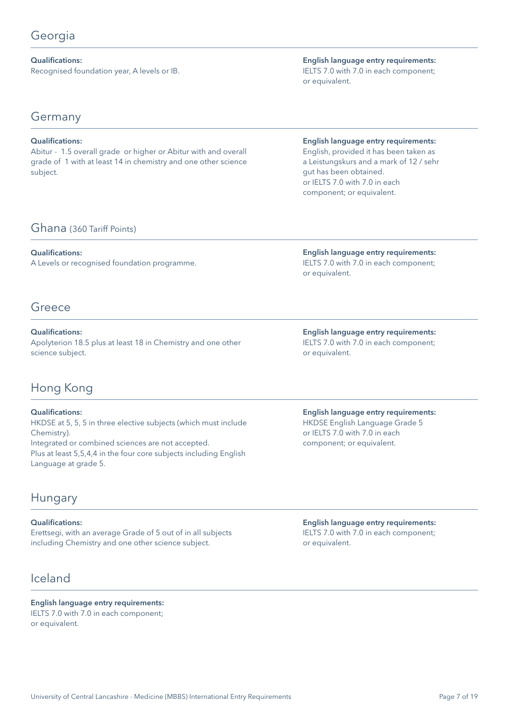<span id="page-6-0"></span>Qualifications: Recognised foundation year, A levels or IB.

English language entry requirements: IELTS 7.0 with 7.0 in each component; or equivalent.

## Germany

### Qualifications:

Abitur - 1.5 overall grade or higher or Abitur with and overall grade of 1 with at least 14 in chemistry and one other science subject.

### Ghana (360 Tariff Points)

### Qualifications:

A Levels or recognised foundation programme.

## Greece

Qualifications: Apolyterion 18.5 plus at least 18 in Chemistry and one other science subject.

## Hong Kong

### Qualifications:

HKDSE at 5, 5, 5 in three elective subjects (which must include Chemistry). Integrated or combined sciences are not accepted. Plus at least 5,5,4,4 in the four core subjects including English

## Hungary

Language at grade 5.

### Qualifications:

Erettsegi, with an average Grade of 5 out of in all subjects including Chemistry and one other science subject.

## Iceland

English language entry requirements: IELTS 7.0 with 7.0 in each component; or equivalent.

English language entry requirements:

English, provided it has been taken as a Leistungskurs and a mark of 12 / sehr gut has been obtained. or IELTS 7.0 with 7.0 in each component; or equivalent.

English language entry requirements: IELTS 7.0 with 7.0 in each component; or equivalent.

English language entry requirements: IELTS 7.0 with 7.0 in each component; or equivalent.

English language entry requirements: HKDSE English Language Grade 5 or IELTS 7.0 with 7.0 in each component; or equivalent.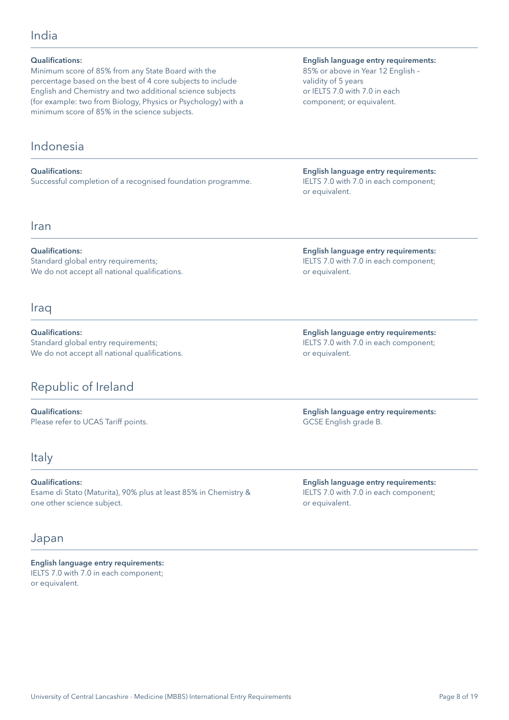### <span id="page-7-0"></span>India

| <b>Qualifications:</b> |  |
|------------------------|--|
|------------------------|--|

Minimum score of 85% from any State Board with the percentage based on the best of 4 core subjects to include English and Chemistry and two additional science subjects (for example: two from Biology, Physics or Psychology) with a minimum score of 85% in the science subjects.

## Indonesia

Qualifications: Successful completion of a recognised foundation programme.

### Iran

Qualifications:

Standard global entry requirements; We do not accept all national qualifications.

### **Iraq**

Qualifications: Standard global entry requirements; We do not accept all national qualifications.

## Republic of Ireland

Qualifications: Please refer to UCAS Tariff points.

### Italy

Qualifications: Esame di Stato (Maturita), 90% plus at least 85% in Chemistry & one other science subject.

### Japan

English language entry requirements: IELTS 7.0 with 7.0 in each component; or equivalent.

University of Central Lancashire - Medicine (MBBS) International Entry Requirements

### English language entry requirements:

85% or above in Year 12 English – validity of 5 years or IELTS 7.0 with 7.0 in each component; or equivalent.

English language entry requirements: IELTS 7.0 with 7.0 in each component; or equivalent.

English language entry requirements: IELTS 7.0 with 7.0 in each component; or equivalent.

English language entry requirements: IELTS 7.0 with 7.0 in each component; or equivalent.

English language entry requirements: GCSE English grade B.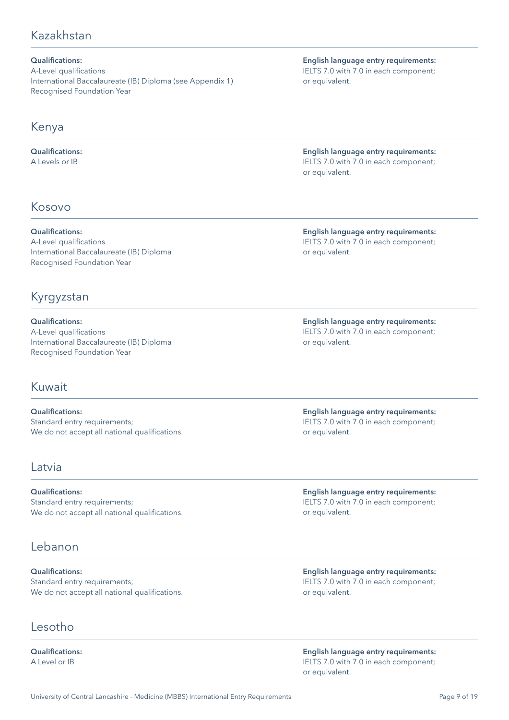## <span id="page-8-0"></span>Kazakhstan

### Qualifications:

A-Level qualifications International Baccalaureate (IB) Diploma (see Appendix 1) Recognised Foundation Year

## Kenya

Qualifications: A Levels or IB

## Kosovo

Qualifications: A-Level qualifications International Baccalaureate (IB) Diploma Recognised Foundation Year

## Kyrgyzstan

Qualifications: A-Level qualifications International Baccalaureate (IB) Diploma Recognised Foundation Year

### Kuwait

Qualifications: Standard entry requirements; We do not accept all national qualifications.

### Latvia

Qualifications: Standard entry requirements; We do not accept all national qualifications.

## Lebanon

Qualifications: Standard entry requirements; We do not accept all national qualifications.

## Lesotho

Qualifications: A Level or IB

English language entry requirements: IELTS 7.0 with 7.0 in each component; or equivalent.

English language entry requirements: IELTS 7.0 with 7.0 in each component; or equivalent.

English language entry requirements: IELTS 7.0 with 7.0 in each component; or equivalent.

English language entry requirements: IELTS 7.0 with 7.0 in each component; or equivalent.

English language entry requirements: IELTS 7.0 with 7.0 in each component; or equivalent.

English language entry requirements: IELTS 7.0 with 7.0 in each component; or equivalent.

English language entry requirements: IELTS 7.0 with 7.0 in each component; or equivalent.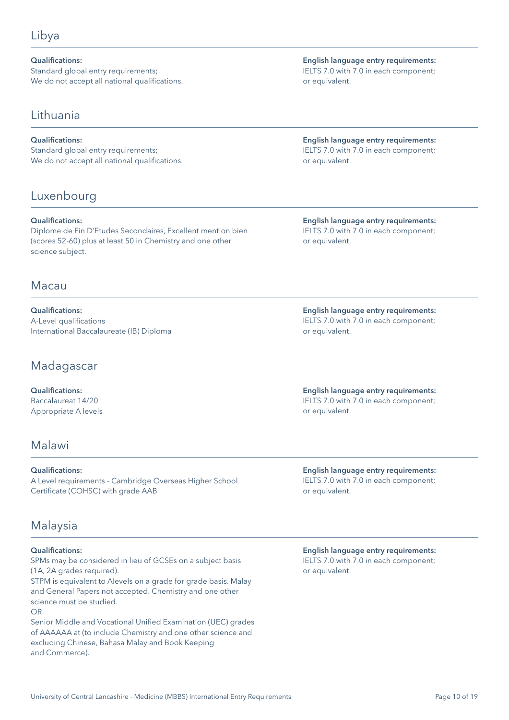<span id="page-9-0"></span>Qualifications: Standard global entry requirements; We do not accept all national qualifications.

### Lithuania

### Qualifications:

Standard global entry requirements; We do not accept all national qualifications.

## Luxenbourg

### Qualifications:

Diplome de Fin D'Etudes Secondaires, Excellent mention bien (scores 52-60) plus at least 50 in Chemistry and one other science subject.

## Macau

Qualifications: A-Level qualifications International Baccalaureate (IB) Diploma

## Madagascar

Qualifications: Baccalaureat 14/20 Appropriate A levels

## Malawi

Qualifications: A Level requirements - Cambridge Overseas Higher School Certificate (COHSC) with grade AAB

## Malaysia

### Qualifications:

SPMs may be considered in lieu of GCSEs on a subject basis (1A, 2A grades required).

STPM is equivalent to Alevels on a grade for grade basis. Malay and General Papers not accepted. Chemistry and one other science must be studied. OR

Senior Middle and Vocational Unified Examination (UEC) grades of AAAAAA at (to include Chemistry and one other science and excluding Chinese, Bahasa Malay and Book Keeping and Commerce).

English language entry requirements: IELTS 7.0 with 7.0 in each component; or equivalent.

English language entry requirements: IELTS 7.0 with 7.0 in each component; or equivalent.

English language entry requirements: IELTS 7.0 with 7.0 in each component; or equivalent.

English language entry requirements: IELTS 7.0 with 7.0 in each component; or equivalent.

English language entry requirements: IELTS 7.0 with 7.0 in each component; or equivalent.

English language entry requirements: IELTS 7.0 with 7.0 in each component; or equivalent.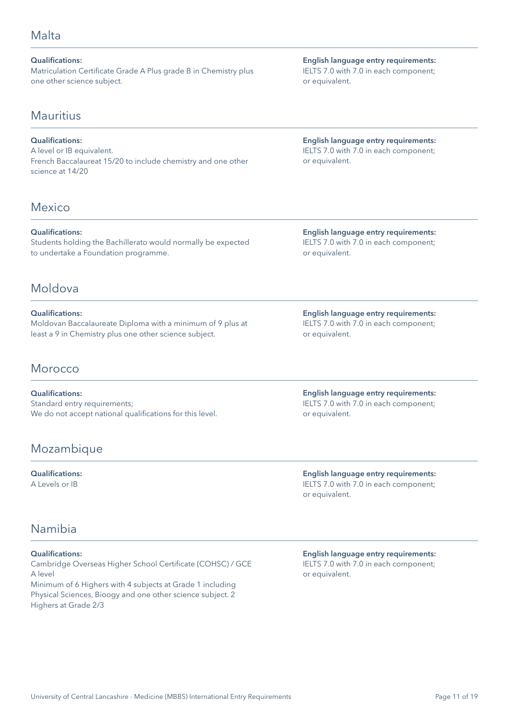### <span id="page-10-0"></span>Malta

Qualifications: Matriculation Certificate Grade A Plus grade B in Chemistry plus one other science subject.

### Mauritius

### Qualifications:

A level or IB equivalent. French Baccalaureat 15/20 to include chemistry and one other science at 14/20

## Mexico

Qualifications:

Students holding the Bachillerato would normally be expected to undertake a Foundation programme.

## Moldova

### Qualifications:

Moldovan Baccalaureate Diploma with a minimum of 9 plus at least a 9 in Chemistry plus one other science subject.

## Morocco

Qualifications: Standard entry requirements; We do not accept national qualifications for this level.

## Mozambique

Qualifications: A Levels or IB

## Namibia

### Qualifications:

Cambridge Overseas Higher School Certificate (COHSC) / GCE A level Minimum of 6 Highers with 4 subjects at Grade 1 including Physical Sciences, Bioogy and one other science subject. 2 Highers at Grade 2/3

English language entry requirements: IELTS 7.0 with 7.0 in each component; or equivalent.

English language entry requirements: IELTS 7.0 with 7.0 in each component; or equivalent.

English language entry requirements: IELTS 7.0 with 7.0 in each component; or equivalent.

English language entry requirements: IELTS 7.0 with 7.0 in each component; or equivalent.

English language entry requirements: IELTS 7.0 with 7.0 in each component; or equivalent.

English language entry requirements: IELTS 7.0 with 7.0 in each component; or equivalent.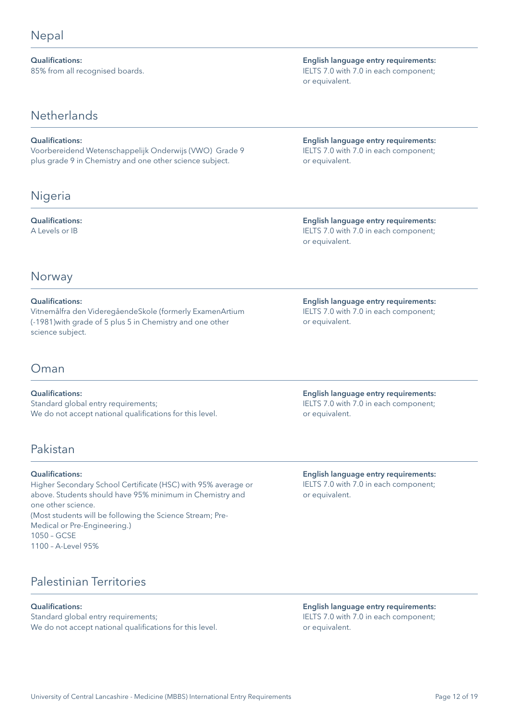<span id="page-11-0"></span>Qualifications: 85% from all recognised boards.

## **Netherlands**

### Qualifications:

Voorbereidend Wetenschappelijk Onderwijs (VWO) Grade 9 plus grade 9 in Chemistry and one other science subject.

## Nigeria

### Qualifications:

A Levels or IB

English language entry requirements: IELTS 7.0 with 7.0 in each component; or equivalent.

English language entry requirements: IELTS 7.0 with 7.0 in each component; or equivalent.

English language entry requirements: IELTS 7.0 with 7.0 in each component; or equivalent.

## Norway

### Qualifications:

Vitnemålfra den VideregåendeSkole (formerly ExamenArtium (-1981)with grade of 5 plus 5 in Chemistry and one other science subject.

## Oman

### Qualifications:

Standard global entry requirements; We do not accept national qualifications for this level.

## Pakistan

### Qualifications:

Higher Secondary School Certificate (HSC) with 95% average or above. Students should have 95% minimum in Chemistry and one other science. (Most students will be following the Science Stream; Pre-Medical or Pre-Engineering.) 1050 – GCSE 1100 – A-Level 95%

Palestinian Territories

### Qualifications:

Standard global entry requirements; We do not accept national qualifications for this level.

English language entry requirements: IELTS 7.0 with 7.0 in each component; or equivalent.

English language entry requirements: IELTS 7.0 with 7.0 in each component; or equivalent.

English language entry requirements: IELTS 7.0 with 7.0 in each component; or equivalent.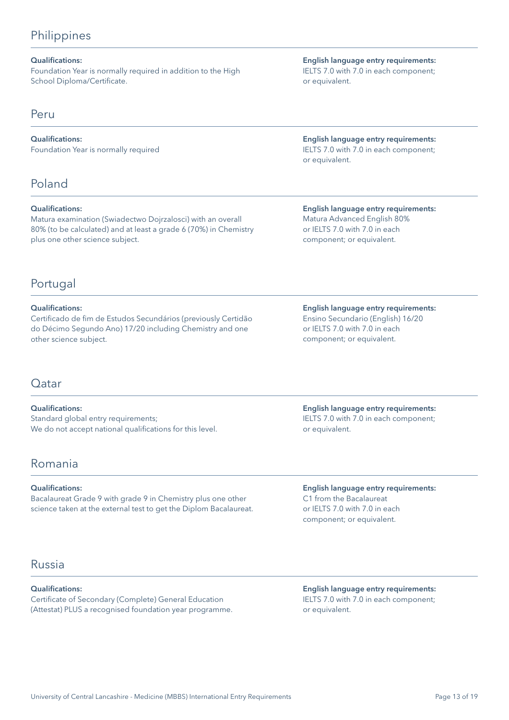## <span id="page-12-0"></span>**Philippines**

### Qualifications:

Foundation Year is normally required in addition to the High School Diploma/Certificate.

### Peru

Qualifications: Foundation Year is normally required

## Poland

### Qualifications:

Matura examination (Swiadectwo Dojrzalosci) with an overall 80% (to be calculated) and at least a grade 6 (70%) in Chemistry plus one other science subject.

## Portugal

### Qualifications:

Certificado de fim de Estudos Secundários (previously Certidão do Décimo Segundo Ano) 17/20 including Chemistry and one other science subject.

### Qatar

Qualifications: Standard global entry requirements; We do not accept national qualifications for this level.

## Romania

Qualifications:

Bacalaureat Grade 9 with grade 9 in Chemistry plus one other science taken at the external test to get the Diplom Bacalaureat.

## Russia

### Qualifications:

Certificate of Secondary (Complete) General Education (Attestat) PLUS a recognised foundation year programme.

English language entry requirements: IELTS 7.0 with 7.0 in each component; or equivalent.

English language entry requirements: IELTS 7.0 with 7.0 in each component; or equivalent.

English language entry requirements: Matura Advanced English 80% or IELTS 7.0 with 7.0 in each component; or equivalent.

English language entry requirements: Ensino Secundario (English) 16/20 or IELTS 7.0 with 7.0 in each component; or equivalent.

English language entry requirements: IELTS 7.0 with 7.0 in each component; or equivalent.

English language entry requirements: C1 from the Bacalaureat or IELTS 7.0 with 7.0 in each component; or equivalent.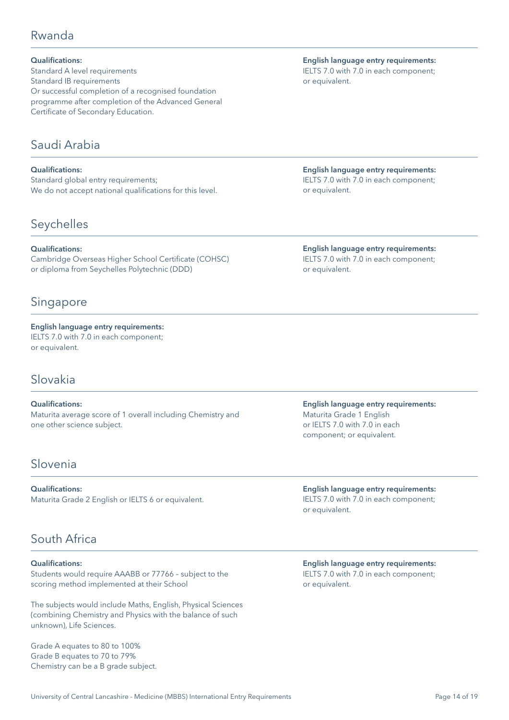## <span id="page-13-0"></span>Rwanda

Qualifications: Standard A level requirements Standard IB requirements Or successful completion of a recognised foundation programme after completion of the Advanced General Certificate of Secondary Education.

## Saudi Arabia

Qualifications: Standard global entry requirements; We do not accept national qualifications for this level.

## Seychelles

Qualifications: Cambridge Overseas Higher School Certificate (COHSC) or diploma from Seychelles Polytechnic (DDD)

## Singapore

English language entry requirements: IELTS 7.0 with 7.0 in each component; or equivalent.

## Slovakia

Qualifications: Maturita average score of 1 overall including Chemistry and one other science subject.

## Slovenia

Qualifications: Maturita Grade 2 English or IELTS 6 or equivalent.

## South Africa

#### Qualifications:

Students would require AAABB or 77766 – subject to the scoring method implemented at their School

The subjects would include Maths, English, Physical Sciences (combining Chemistry and Physics with the balance of such unknown), Life Sciences.

Grade A equates to 80 to 100% Grade B equates to 70 to 79% Chemistry can be a B grade subject.

English language entry requirements: IELTS 7.0 with 7.0 in each component; or equivalent.

English language entry requirements: IELTS 7.0 with 7.0 in each component; or equivalent.

English language entry requirements: IELTS 7.0 with 7.0 in each component; or equivalent.

English language entry requirements: Maturita Grade 1 English or IELTS 7.0 with 7.0 in each component; or equivalent.

English language entry requirements: IELTS 7.0 with 7.0 in each component; or equivalent.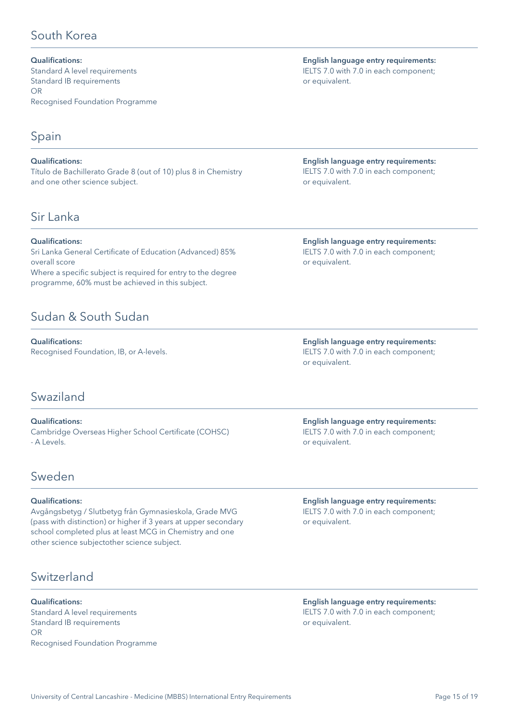## <span id="page-14-0"></span>South Korea

Qualifications: Standard A level requirements Standard IB requirements OR Recognised Foundation Programme

## Spain

Qualifications: Título de Bachillerato Grade 8 (out of 10) plus 8 in Chemistry and one other science subject.

## Sir Lanka

### Qualifications:

Sri Lanka General Certificate of Education (Advanced) 85% overall score Where a specific subject is required for entry to the degree programme, 60% must be achieved in this subject.

## Sudan & South Sudan

Qualifications: Recognised Foundation, IB, or A-levels.

## Swaziland

Qualifications: Cambridge Overseas Higher School Certificate (COHSC) - A Levels.

## Sweden

### Qualifications:

Avgångsbetyg / Slutbetyg från Gymnasieskola, Grade MVG (pass with distinction) or higher if 3 years at upper secondary school completed plus at least MCG in Chemistry and one other science subjectother science subject.

## Switzerland

Qualifications: Standard A level requirements Standard IB requirements OR Recognised Foundation Programme

English language entry requirements: IELTS 7.0 with 7.0 in each component; or equivalent.

English language entry requirements: IELTS 7.0 with 7.0 in each component; or equivalent.

English language entry requirements: IELTS 7.0 with 7.0 in each component; or equivalent.

English language entry requirements: IELTS 7.0 with 7.0 in each component; or equivalent.

English language entry requirements: IELTS 7.0 with 7.0 in each component; or equivalent.

English language entry requirements: IELTS 7.0 with 7.0 in each component; or equivalent.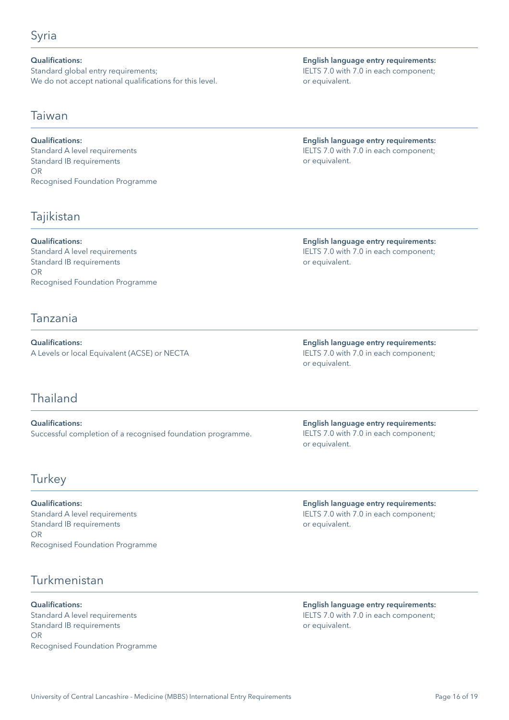### <span id="page-15-0"></span>Qualifications:

Standard global entry requirements; We do not accept national qualifications for this level.

### Taiwan

### Qualifications:

Standard A level requirements Standard IB requirements OR Recognised Foundation Programme

## Tajikistan

Qualifications: Standard A level requirements Standard IB requirements OR Recognised Foundation Programme

### Tanzania

Qualifications: A Levels or local Equivalent (ACSE) or NECTA

## Thailand

Qualifications: Successful completion of a recognised foundation programme.

### **Turkey**

Qualifications: Standard A level requirements Standard IB requirements OR Recognised Foundation Programme

## Turkmenistan

Qualifications: Standard A level requirements Standard IB requirements OR Recognised Foundation Programme

English language entry requirements: IELTS 7.0 with 7.0 in each component; or equivalent.

English language entry requirements: IELTS 7.0 with 7.0 in each component; or equivalent.

English language entry requirements: IELTS 7.0 with 7.0 in each component; or equivalent.

English language entry requirements: IELTS 7.0 with 7.0 in each component; or equivalent.

English language entry requirements: IELTS 7.0 with 7.0 in each component; or equivalent.

English language entry requirements: IELTS 7.0 with 7.0 in each component; or equivalent.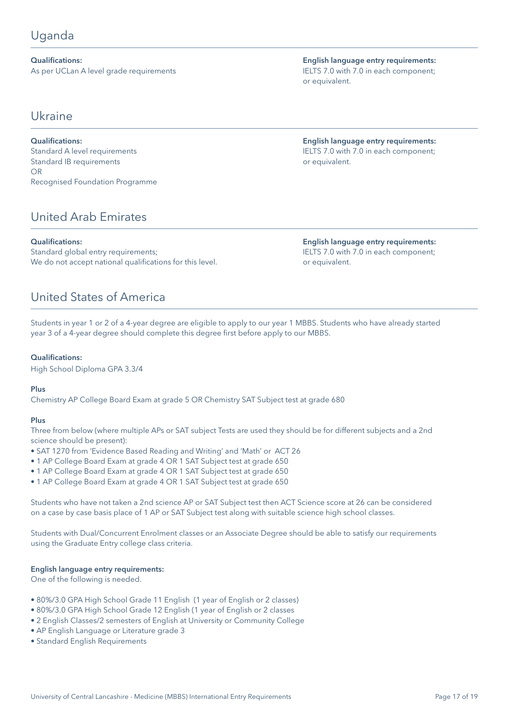## <span id="page-16-0"></span>Uganda

Qualifications: As per UCLan A level grade requirements

Ukraine

### Qualifications:

Standard A level requirements Standard IB requirements OR Recognised Foundation Programme

## United Arab Emirates

### Qualifications:

Standard global entry requirements; We do not accept national qualifications for this level.

## United States of America

Students in year 1 or 2 of a 4-year degree are eligible to apply to our year 1 MBBS. Students who have already started year 3 of a 4-year degree should complete this degree first before apply to our MBBS.

### Qualifications:

High School Diploma GPA 3.3/4

### Plus

Chemistry AP College Board Exam at grade 5 OR Chemistry SAT Subject test at grade 680

### Plus

Three from below (where multiple APs or SAT subject Tests are used they should be for different subjects and a 2nd science should be present):

- SAT 1270 from 'Evidence Based Reading and Writing' and 'Math' or ACT 26
- 1 AP College Board Exam at grade 4 OR 1 SAT Subject test at grade 650
- 1 AP College Board Exam at grade 4 OR 1 SAT Subject test at grade 650
- 1 AP College Board Exam at grade 4 OR 1 SAT Subject test at grade 650

Students who have not taken a 2nd science AP or SAT Subject test then ACT Science score at 26 can be considered on a case by case basis place of 1 AP or SAT Subject test along with suitable science high school classes.

Students with Dual/Concurrent Enrolment classes or an Associate Degree should be able to satisfy our requirements using the Graduate Entry college class criteria.

#### English language entry requirements:

One of the following is needed.

- 80%/3.0 GPA High School Grade 11 English (1 year of English or 2 classes)
- 80%/3.0 GPA High School Grade 12 English (1 year of English or 2 classes
- 2 English Classes/2 semesters of English at University or Community College
- AP English Language or Literature grade 3
- Standard English Requirements

English language entry requirements: IELTS 7.0 with 7.0 in each component; or equivalent.

English language entry requirements: IELTS 7.0 with 7.0 in each component; or equivalent.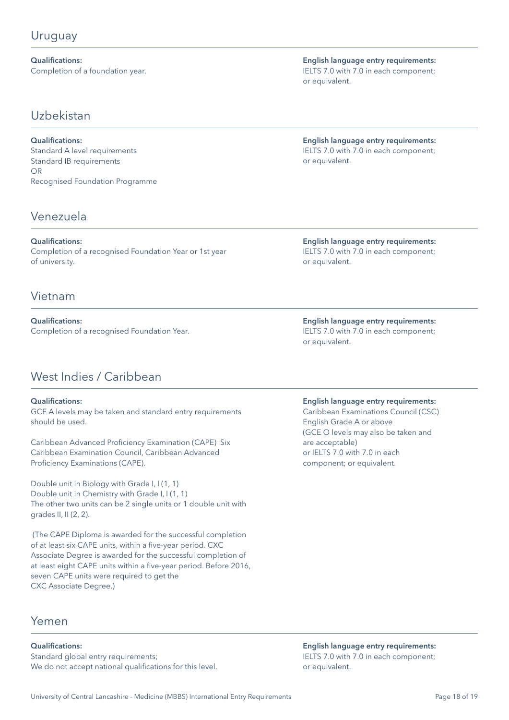<span id="page-17-0"></span>Qualifications: Completion of a foundation year.

Uzbekistan

Qualifications: Standard A level requirements Standard IB requirements OR Recognised Foundation Programme

### Venezuela

Qualifications: Completion of a recognised Foundation Year or 1st year of university.

### Vietnam

Qualifications: Completion of a recognised Foundation Year.

## West Indies / Caribbean

### Qualifications:

GCE A levels may be taken and standard entry requirements should be used.

Caribbean Advanced Proficiency Examination (CAPE) Six Caribbean Examination Council, Caribbean Advanced Proficiency Examinations (CAPE).

Double unit in Biology with Grade I, I (1, 1) Double unit in Chemistry with Grade I, I (1, 1) The other two units can be 2 single units or 1 double unit with grades II, II (2, 2).

 (The CAPE Diploma is awarded for the successful completion of at least six CAPE units, within a five-year period. CXC Associate Degree is awarded for the successful completion of at least eight CAPE units within a five-year period. Before 2016, seven CAPE units were required to get the CXC Associate Degree.)

English language entry requirements: IELTS 7.0 with 7.0 in each component; or equivalent.

English language entry requirements: IELTS 7.0 with 7.0 in each component; or equivalent.

English language entry requirements: IELTS 7.0 with 7.0 in each component; or equivalent.

English language entry requirements: IELTS 7.0 with 7.0 in each component; or equivalent.

### English language entry requirements:

Caribbean Examinations Council (CSC) English Grade A or above (GCE O levels may also be taken and are acceptable) or IELTS 7.0 with 7.0 in each component; or equivalent.

Yemen

#### Qualifications:

Standard global entry requirements; We do not accept national qualifications for this level.